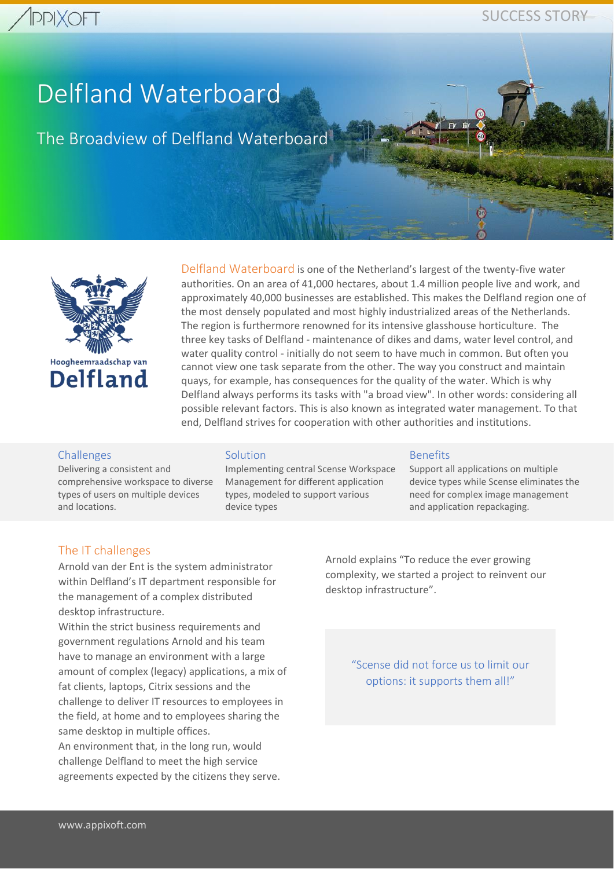# **PPIXOFT**

## SUCCESS STORY

# Delfland Waterboard

The Broadview of Delfland Waterboard



Delfland Waterboard is one of the Netherland's largest of the twenty-five water authorities. On an area of 41,000 hectares, about 1.4 million people live and work, and approximately 40,000 businesses are established. This makes the Delfland region one of the most densely populated and most highly industrialized areas of the Netherlands. The region is furthermore renowned for its intensive glasshouse horticulture. The three key tasks of Delfland - maintenance of dikes and dams, water level control, and water quality control - initially do not seem to have much in common. But often you cannot view one task separate from the other. The way you construct and maintain quays, for example, has consequences for the quality of the water. Which is why Delfland always performs its tasks with "a broad view". In other words: considering all possible relevant factors. This is also known as integrated water management. To that end, Delfland strives for cooperation with other authorities and institutions.

#### Challenges

Delivering a consistent and comprehensive workspace to diverse types of users on multiple devices and locations.

#### **Solution**

Implementing central Scense Workspace Management for different application types, modeled to support various device types

#### Benefits

Support all applications on multiple device types while Scense eliminates the need for complex image management and application repackaging.

#### The IT challenges

Arnold van der Ent is the system administrator within Delfland's IT department responsible for the management of a complex distributed desktop infrastructure.

Within the strict business requirements and government regulations Arnold and his team have to manage an environment with a large amount of complex (legacy) applications, a mix of fat clients, laptops, Citrix sessions and the challenge to deliver IT resources to employees in the field, at home and to employees sharing the same desktop in multiple offices.

An environment that, in the long run, would challenge Delfland to meet the high service agreements expected by the citizens they serve. Arnold explains "To reduce the ever growing complexity, we started a project to reinvent our desktop infrastructure".

> "Scense did not force us to limit our options: it supports them all!"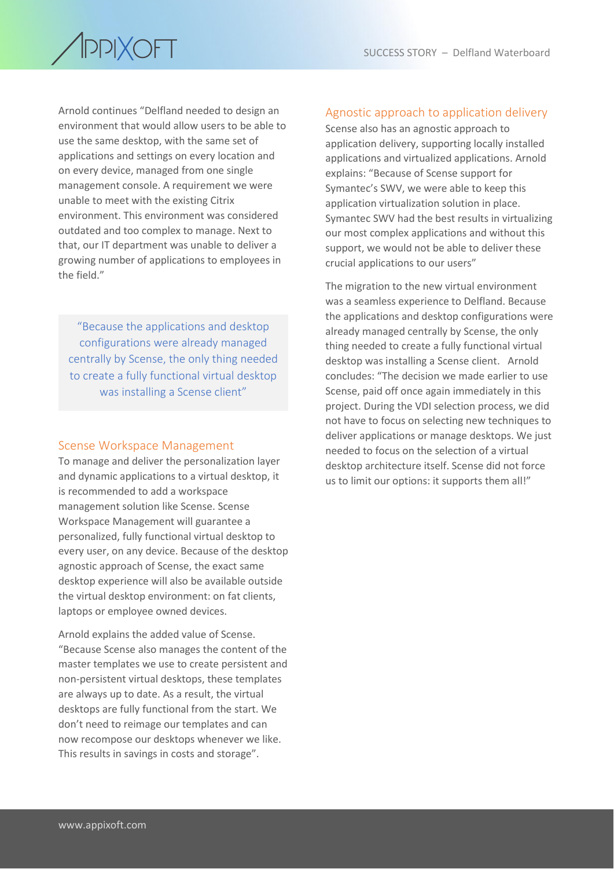

Arnold continues "Delfland needed to design an environment that would allow users to be able to use the same desktop, with the same set of applications and settings on every location and on every device, managed from one single management console. A requirement we were unable to meet with the existing Citrix environment. This environment was considered outdated and too complex to manage. Next to that, our IT department was unable to deliver a growing number of applications to employees in the field."

"Because the applications and desktop configurations were already managed centrally by Scense, the only thing needed to create a fully functional virtual desktop was installing a Scense client"

#### Scense Workspace Management

To manage and deliver the personalization layer and dynamic applications to a virtual desktop, it is recommended to add a workspace management solution like Scense. Scense Workspace Management will guarantee a personalized, fully functional virtual desktop to every user, on any device. Because of the desktop agnostic approach of Scense, the exact same desktop experience will also be available outside the virtual desktop environment: on fat clients, laptops or employee owned devices.

Arnold explains the added value of Scense. "Because Scense also manages the content of the master templates we use to create persistent and non-persistent virtual desktops, these templates are always up to date. As a result, the virtual desktops are fully functional from the start. We don't need to reimage our templates and can now recompose our desktops whenever we like. This results in savings in costs and storage".

#### Agnostic approach to application delivery

Scense also has an agnostic approach to application delivery, supporting locally installed applications and virtualized applications. Arnold explains: "Because of Scense support for Symantec's SWV, we were able to keep this application virtualization solution in place. Symantec SWV had the best results in virtualizing our most complex applications and without this support, we would not be able to deliver these crucial applications to our users"

The migration to the new virtual environment was a seamless experience to Delfland. Because the applications and desktop configurations were already managed centrally by Scense, the only thing needed to create a fully functional virtual desktop was installing a Scense client. Arnold concludes: "The decision we made earlier to use Scense, paid off once again immediately in this project. During the VDI selection process, we did not have to focus on selecting new techniques to deliver applications or manage desktops. We just needed to focus on the selection of a virtual desktop architecture itself. Scense did not force us to limit our options: it supports them all!"